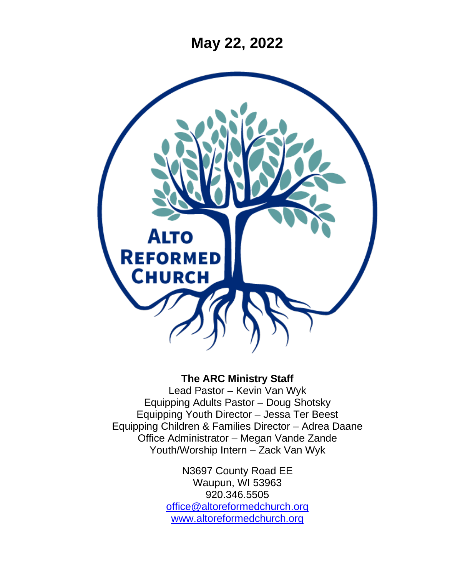**May 22, 2022**



#### **The ARC Ministry Staff**

Lead Pastor – Kevin Van Wyk Equipping Adults Pastor – Doug Shotsky Equipping Youth Director – Jessa Ter Beest Equipping Children & Families Director – Adrea Daane Office Administrator – Megan Vande Zande Youth/Worship Intern – Zack Van Wyk

> N3697 County Road EE Waupun, WI 53963 920.346.5505 [office@altoreformedchurch.org](mailto:office@altoreformedchurch.org) [www.altoreformedchurch.org](http://www.altoreformedchurch.org/)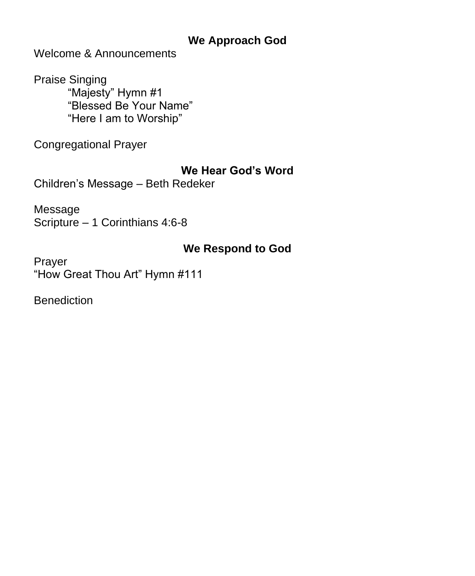#### **We Approach God**

Welcome & Announcements

Praise Singing "Majesty" Hymn #1 "Blessed Be Your Name" "Here I am to Worship"

Congregational Prayer

#### **We Hear God's Word**

Children's Message – Beth Redeker

Message Scripture – 1 Corinthians 4:6-8

## **We Respond to God**

Prayer "How Great Thou Art" Hymn #111

**Benediction**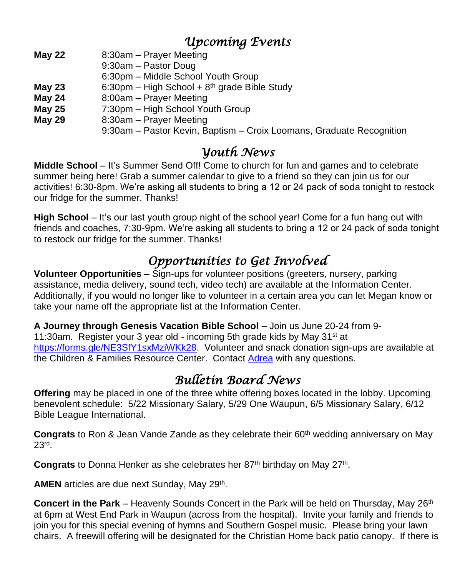## *Upcoming Events*

- **May 22** 8:30am Prayer Meeting
	- 9:30am Pastor Doug
		- 6:30pm Middle School Youth Group
- **May 23** 6:30pm High School + 8th grade Bible Study
- **May 24** 8:00am Prayer Meeting
- **May 25** 7:30pm High School Youth Group
- **May 29** 8:30am Prayer Meeting
	- 9:30am Pastor Kevin, Baptism Croix Loomans, Graduate Recognition

### *Youth News*

**Middle School** – It's Summer Send Off! Come to church for fun and games and to celebrate summer being here! Grab a summer calendar to give to a friend so they can join us for our activities! 6:30-8pm. We're asking all students to bring a 12 or 24 pack of soda tonight to restock our fridge for the summer. Thanks!

**High School** – It's our last youth group night of the school year! Come for a fun hang out with friends and coaches, 7:30-9pm. We're asking all students to bring a 12 or 24 pack of soda tonight to restock our fridge for the summer. Thanks!

# *Opportunities to Get Involved*

**Volunteer Opportunities –** Sign-ups for volunteer positions (greeters, nursery, parking assistance, media delivery, sound tech, video tech) are available at the Information Center. Additionally, if you would no longer like to volunteer in a certain area you can let Megan know or take your name off the appropriate list at the Information Center.

**A Journey through Genesis Vacation Bible School –** Join us June 20-24 from 9- 11:30am. Register your 3 year old - incoming 5th grade kids by May 31 $\mathrm{st}$  at [https://forms.gle/NE3SfY1sxMziWKk28.](https://nam12.safelinks.protection.outlook.com/?url=https%3A%2F%2Fforms.gle%2FNE3SfY1sxMziWKk28&data=05%7C01%7C%7C0788ca9993c348dddb6a08da287e6224%7C84df9e7fe9f640afb435aaaaaaaaaaaa%7C1%7C0%7C637866820524786632%7CUnknown%7CTWFpbGZsb3d8eyJWIjoiMC4wLjAwMDAiLCJQIjoiV2luMzIiLCJBTiI6Ik1haWwiLCJXVCI6Mn0%3D%7C3000%7C%7C%7C&sdata=4R5wretttGAg20bIB87jeLZNIqY2V0VZ14rFZ7FgROg%3D&reserved=0) Volunteer and snack donation sign-ups are available at the Children & Families Resource Center. Contact [Adrea](mailto:adrea@altoreformedchurch.org) with any questions.

# *Bulletin Board News*

**Offering** may be placed in one of the three white offering boxes located in the lobby. Upcoming benevolent schedule: 5/22 Missionary Salary, 5/29 One Waupun, 6/5 Missionary Salary, 6/12 Bible League International.

**Congrats** to Ron & Jean Vande Zande as they celebrate their 60<sup>th</sup> wedding anniversary on May 23rd .

Congrats to Donna Henker as she celebrates her 87<sup>th</sup> birthday on May 27<sup>th</sup>.

AMEN articles are due next Sunday, May 29<sup>th</sup>.

**Concert in the Park** – Heavenly Sounds Concert in the Park will be held on Thursday, May 26<sup>th</sup> at 6pm at West End Park in Waupun (across from the hospital). Invite your family and friends to join you for this special evening of hymns and Southern Gospel music. Please bring your lawn chairs. A freewill offering will be designated for the Christian Home back patio canopy. If there is